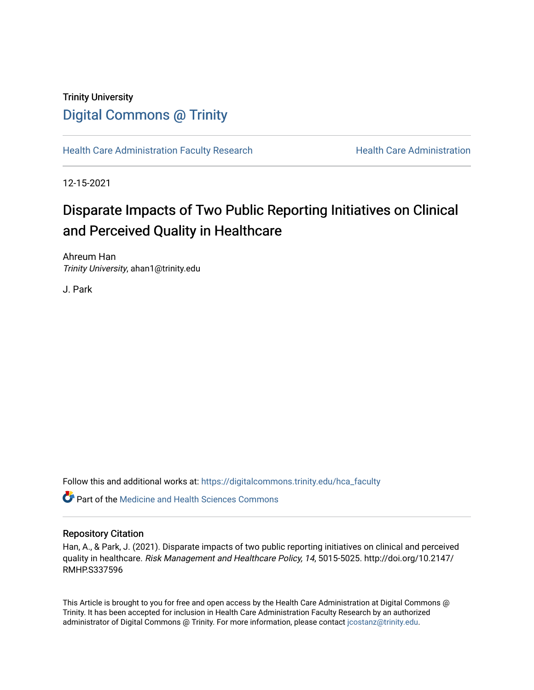## Trinity University [Digital Commons @ Trinity](https://digitalcommons.trinity.edu/)

[Health Care Administration Faculty Research](https://digitalcommons.trinity.edu/hca_faculty) Health Care Administration

12-15-2021

# Disparate Impacts of Two Public Reporting Initiatives on Clinical and Perceived Quality in Healthcare

Ahreum Han Trinity University, ahan1@trinity.edu

J. Park

Follow this and additional works at: [https://digitalcommons.trinity.edu/hca\\_faculty](https://digitalcommons.trinity.edu/hca_faculty?utm_source=digitalcommons.trinity.edu%2Fhca_faculty%2F55&utm_medium=PDF&utm_campaign=PDFCoverPages)

**C** Part of the Medicine and Health Sciences Commons

#### Repository Citation

Han, A., & Park, J. (2021). Disparate impacts of two public reporting initiatives on clinical and perceived quality in healthcare. Risk Management and Healthcare Policy, 14, 5015-5025. http://doi.org/10.2147/ RMHP.S337596

This Article is brought to you for free and open access by the Health Care Administration at Digital Commons @ Trinity. It has been accepted for inclusion in Health Care Administration Faculty Research by an authorized administrator of Digital Commons @ Trinity. For more information, please contact [jcostanz@trinity.edu.](mailto:jcostanz@trinity.edu)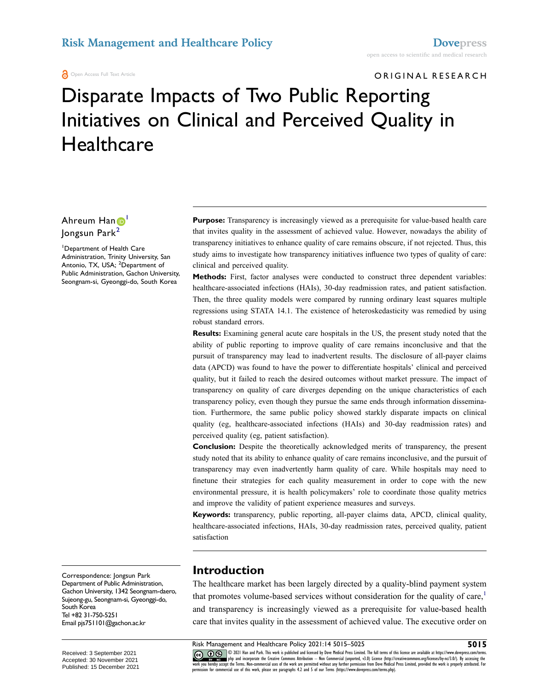**A** Open Access Full Text Article

ORIGINAL RESEARCH

# Disparate Impacts of Two Public Reporting Initiatives on Clinical and Perceived Quality in **Healthcare**

Ahreum Han <sup>[1](#page-1-0)</sup> Jongsun Park[2](#page-1-1)

<span id="page-1-1"></span><span id="page-1-0"></span>1 Department of Health Care Administration, Trinity University, San Antonio, TX, USA; <sup>2</sup>Department of Public Administration, Gachon University, Seongnam-si, Gyeonggi-do, South Korea

Correspondence: Jongsun Park Department of Public Administration, Gachon University, 1342 Seongnam-daero, Sujeong-gu, Seongnam-si, Gyeonggi-do, South Korea Tel +82 31-750-5251 Email [pjs751101@gachon.ac.kr](mailto:pjs751101@gachon.ac.kr)

**Purpose:** Transparency is increasingly viewed as a prerequisite for value-based health care that invites quality in the assessment of achieved value. However, nowadays the ability of transparency initiatives to enhance quality of care remains obscure, if not rejected. Thus, this study aims to investigate how transparency initiatives influence two types of quality of care: clinical and perceived quality.

**Methods:** First, factor analyses were conducted to construct three dependent variables: healthcare-associated infections (HAIs), 30-day readmission rates, and patient satisfaction. Then, the three quality models were compared by running ordinary least squares multiple regressions using STATA 14.1. The existence of heteroskedasticity was remedied by using robust standard errors.

**Results:** Examining general acute care hospitals in the US, the present study noted that the ability of public reporting to improve quality of care remains inconclusive and that the pursuit of transparency may lead to inadvertent results. The disclosure of all-payer claims data (APCD) was found to have the power to differentiate hospitals' clinical and perceived quality, but it failed to reach the desired outcomes without market pressure. The impact of transparency on quality of care diverges depending on the unique characteristics of each transparency policy, even though they pursue the same ends through information dissemination. Furthermore, the same public policy showed starkly disparate impacts on clinical quality (eg, healthcare-associated infections (HAIs) and 30-day readmission rates) and perceived quality (eg, patient satisfaction).

**Conclusion:** Despite the theoretically acknowledged merits of transparency, the present study noted that its ability to enhance quality of care remains inconclusive, and the pursuit of transparency may even inadvertently harm quality of care. While hospitals may need to finetune their strategies for each quality measurement in order to cope with the new environmental pressure, it is health policymakers' role to coordinate those quality metrics and improve the validity of patient experience measures and surveys.

**Keywords:** transparency, public reporting, all-payer claims data, APCD, clinical quality, healthcare-associated infections, HAIs, 30-day readmission rates, perceived quality, patient satisfaction

#### **Introduction**

<span id="page-1-2"></span>The healthcare market has been largely directed by a quality-blind payment system that promotes volume-based services without consideration for the quality of care, $\frac{1}{1}$ and transparency is increasingly viewed as a prerequisite for value-based health care that invites quality in the assessment of achieved value. The executive order on

**Risk Management and Healthcare Policy 2021:14 5015–5025**<br> **60 Co (F)** S 2021 Han and Park. This work is published and licensed by Dove Medical Press Limited. The full terms of this license are available at https://www.d © 2021 Han and Park. This work is published and licensed by Dove Medical Press Limited. The full terms of this license are available at https://www.dovepress.com/terms.<br>php and incorporate the Creative Commons Attribution work you hereby accept the Terms. Non-commercial uses of the work are permitted without any further permission from Dove Medical Press Limited, provided the work is properly attributed. For<br>permission for commercial use of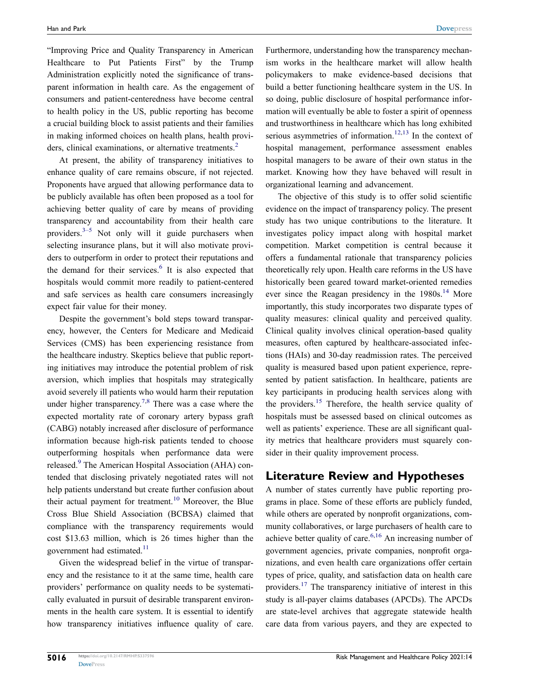"Improving Price and Quality Transparency in American Healthcare to Put Patients First" by the Trump Administration explicitly noted the significance of transparent information in health care. As the engagement of consumers and patient-centeredness have become central to health policy in the US, public reporting has become a crucial building block to assist patients and their families in making informed choices on health plans, health provi-ders, clinical examinations, or alternative treatments.<sup>[2](#page-9-1)</sup>

<span id="page-2-1"></span><span id="page-2-0"></span>At present, the ability of transparency initiatives to enhance quality of care remains obscure, if not rejected. Proponents have argued that allowing performance data to be publicly available has often been proposed as a tool for achieving better quality of care by means of providing transparency and accountability from their health care providers. $3-5$  Not only will it guide purchasers when selecting insurance plans, but it will also motivate providers to outperform in order to protect their reputations and the demand for their services. $6$  It is also expected that hospitals would commit more readily to patient-centered and safe services as health care consumers increasingly expect fair value for their money.

<span id="page-2-3"></span>Despite the government's bold steps toward transparency, however, the Centers for Medicare and Medicaid Services (CMS) has been experiencing resistance from the healthcare industry. Skeptics believe that public reporting initiatives may introduce the potential problem of risk aversion, which implies that hospitals may strategically avoid severely ill patients who would harm their reputation under higher transparency.<sup>7,8</sup> There was a case where the expected mortality rate of coronary artery bypass graft (CABG) notably increased after disclosure of performance information because high-risk patients tended to choose outperforming hospitals when performance data were released[.9](#page-9-6) The American Hospital Association (AHA) contended that disclosing privately negotiated rates will not help patients understand but create further confusion about their actual payment for treatment.<sup>[10](#page-9-7)</sup> Moreover, the Blue Cross Blue Shield Association (BCBSA) claimed that compliance with the transparency requirements would cost \$13.63 million, which is 26 times higher than the government had estimated. $11$ 

<span id="page-2-6"></span><span id="page-2-5"></span><span id="page-2-4"></span>Given the widespread belief in the virtue of transparency and the resistance to it at the same time, health care providers' performance on quality needs to be systematically evaluated in pursuit of desirable transparent environments in the health care system. It is essential to identify how transparency initiatives influence quality of care.

Furthermore, understanding how the transparency mechanism works in the healthcare market will allow health policymakers to make evidence-based decisions that build a better functioning healthcare system in the US. In so doing, public disclosure of hospital performance information will eventually be able to foster a spirit of openness and trustworthiness in healthcare which has long exhibited serious asymmetries of information.<sup>[12,](#page-9-9)[13](#page-9-10)</sup> In the context of hospital management, performance assessment enables hospital managers to be aware of their own status in the market. Knowing how they have behaved will result in organizational learning and advancement.

<span id="page-2-8"></span><span id="page-2-7"></span>The objective of this study is to offer solid scientific evidence on the impact of transparency policy. The present study has two unique contributions to the literature. It investigates policy impact along with hospital market competition. Market competition is central because it offers a fundamental rationale that transparency policies theoretically rely upon. Health care reforms in the US have historically been geared toward market-oriented remedies ever since the Reagan presidency in the  $1980s$ .<sup>[14](#page-9-11)</sup> More importantly, this study incorporates two disparate types of quality measures: clinical quality and perceived quality. Clinical quality involves clinical operation-based quality measures, often captured by healthcare-associated infections (HAIs) and 30-day readmission rates. The perceived quality is measured based upon patient experience, represented by patient satisfaction. In healthcare, patients are key participants in producing health services along with the providers.<sup>15</sup> Therefore, the health service quality of hospitals must be assessed based on clinical outcomes as well as patients' experience. These are all significant quality metrics that healthcare providers must squarely consider in their quality improvement process.

#### <span id="page-2-9"></span>**Literature Review and Hypotheses**

<span id="page-2-10"></span><span id="page-2-2"></span>A number of states currently have public reporting programs in place. Some of these efforts are publicly funded, while others are operated by nonprofit organizations, community collaboratives, or large purchasers of health care to achieve better quality of care.<sup>[6](#page-9-3),16</sup> An increasing number of government agencies, private companies, nonprofit organizations, and even health care organizations offer certain types of price, quality, and satisfaction data on health care providers.[17](#page-9-14) The transparency initiative of interest in this study is all-payer claims databases (APCDs). The APCDs are state-level archives that aggregate statewide health care data from various payers, and they are expected to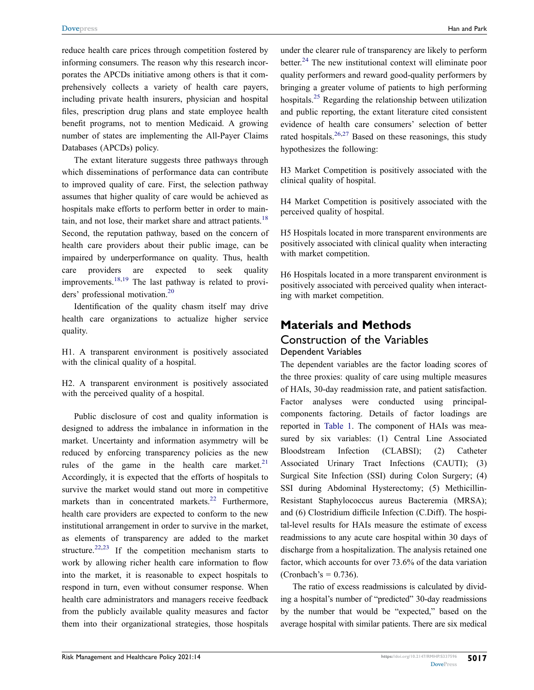reduce health care prices through competition fostered by informing consumers. The reason why this research incorporates the APCDs initiative among others is that it comprehensively collects a variety of health care payers, including private health insurers, physician and hospital files, prescription drug plans and state employee health benefit programs, not to mention Medicaid. A growing number of states are implementing the All-Payer Claims Databases (APCDs) policy.

The extant literature suggests three pathways through which disseminations of performance data can contribute to improved quality of care. First, the selection pathway assumes that higher quality of care would be achieved as hospitals make efforts to perform better in order to maintain, and not lose, their market share and attract patients. $18$ Second, the reputation pathway, based on the concern of health care providers about their public image, can be impaired by underperformance on quality. Thus, health care providers are expected to seek quality improvements.[18](#page-10-0)[,19](#page-10-1) The last pathway is related to providers' professional motivation[.20](#page-10-2)

<span id="page-3-1"></span><span id="page-3-0"></span>Identification of the quality chasm itself may drive health care organizations to actualize higher service quality.

H1. A transparent environment is positively associated with the clinical quality of a hospital.

H2. A transparent environment is positively associated with the perceived quality of a hospital.

<span id="page-3-3"></span><span id="page-3-2"></span>Public disclosure of cost and quality information is designed to address the imbalance in information in the market. Uncertainty and information asymmetry will be reduced by enforcing transparency policies as the new rules of the game in the health care market. $21$ Accordingly, it is expected that the efforts of hospitals to survive the market would stand out more in competitive markets than in concentrated markets.<sup>[22](#page-10-4)</sup> Furthermore, health care providers are expected to conform to the new institutional arrangement in order to survive in the market, as elements of transparency are added to the market structure.<sup>[22](#page-10-4),[23](#page-10-5)</sup> If the competition mechanism starts to work by allowing richer health care information to flow into the market, it is reasonable to expect hospitals to respond in turn, even without consumer response. When health care administrators and managers receive feedback from the publicly available quality measures and factor them into their organizational strategies, those hospitals

<span id="page-3-5"></span><span id="page-3-4"></span>under the clearer rule of transparency are likely to perform better.<sup>24</sup> The new institutional context will eliminate poor quality performers and reward good-quality performers by bringing a greater volume of patients to high performing hospitals.[25](#page-10-7) Regarding the relationship between utilization and public reporting, the extant literature cited consistent evidence of health care consumers' selection of better rated hospitals.<sup>26,[27](#page-10-9)</sup> Based on these reasonings, this study hypothesizes the following:

<span id="page-3-6"></span>H3 Market Competition is positively associated with the clinical quality of hospital.

H4 Market Competition is positively associated with the perceived quality of hospital.

H5 Hospitals located in more transparent environments are positively associated with clinical quality when interacting with market competition.

H6 Hospitals located in a more transparent environment is positively associated with perceived quality when interacting with market competition.

### **Materials and Methods**

#### Construction of the Variables Dependent Variables

The dependent variables are the factor loading scores of the three proxies: quality of care using multiple measures of HAIs, 30-day readmission rate, and patient satisfaction. Factor analyses were conducted using principalcomponents factoring. Details of factor loadings are reported in [Table 1](#page-4-0). The component of HAIs was measured by six variables: (1) Central Line Associated Bloodstream Infection (CLABSI); (2) Catheter Associated Urinary Tract Infections (CAUTI); (3) Surgical Site Infection (SSI) during Colon Surgery; (4) SSI during Abdominal Hysterectomy; (5) Methicillin-Resistant Staphylococcus aureus Bacteremia (MRSA); and (6) Clostridium difficile Infection (C.Diff). The hospital-level results for HAIs measure the estimate of excess readmissions to any acute care hospital within 30 days of discharge from a hospitalization. The analysis retained one factor, which accounts for over 73.6% of the data variation  $(Cronbach's = 0.736)$ .

The ratio of excess readmissions is calculated by dividing a hospital's number of "predicted" 30-day readmissions by the number that would be "expected," based on the average hospital with similar patients. There are six medical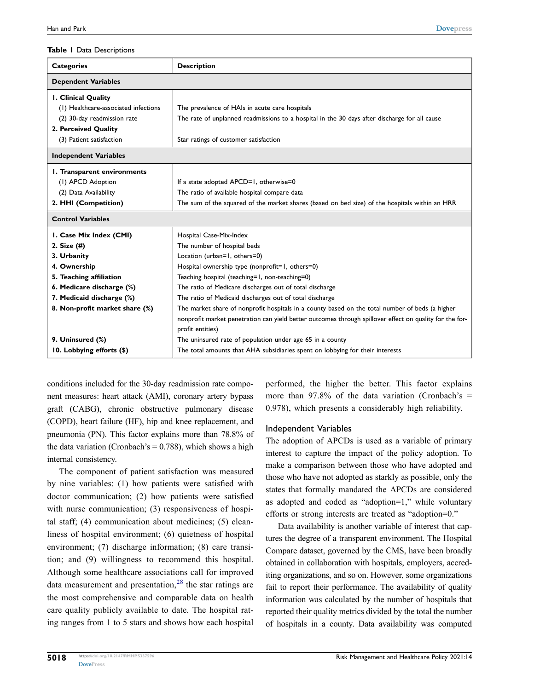#### <span id="page-4-0"></span>**Table 1** Data Descriptions

| <b>Categories</b>                    | <b>Description</b>                                                                                      |  |  |  |  |
|--------------------------------------|---------------------------------------------------------------------------------------------------------|--|--|--|--|
| <b>Dependent Variables</b>           |                                                                                                         |  |  |  |  |
| <b>I. Clinical Quality</b>           |                                                                                                         |  |  |  |  |
| (1) Healthcare-associated infections | The prevalence of HAIs in acute care hospitals                                                          |  |  |  |  |
| (2) 30-day readmission rate          | The rate of unplanned readmissions to a hospital in the 30 days after discharge for all cause           |  |  |  |  |
| 2. Perceived Quality                 |                                                                                                         |  |  |  |  |
| (3) Patient satisfaction             | Star ratings of customer satisfaction                                                                   |  |  |  |  |
| <b>Independent Variables</b>         |                                                                                                         |  |  |  |  |
| I. Transparent environments          |                                                                                                         |  |  |  |  |
| (I) APCD Adoption                    | If a state adopted APCD=1, otherwise=0                                                                  |  |  |  |  |
| (2) Data Availability                | The ratio of available hospital compare data                                                            |  |  |  |  |
| 2. HHI (Competition)                 | The sum of the squared of the market shares (based on bed size) of the hospitals within an HRR          |  |  |  |  |
| <b>Control Variables</b>             |                                                                                                         |  |  |  |  |
| I. Case Mix Index (CMI)              | Hospital Case-Mix-Index                                                                                 |  |  |  |  |
| 2. Size (#)                          | The number of hospital beds                                                                             |  |  |  |  |
| 3. Urbanity                          | Location (urban=1, others=0)                                                                            |  |  |  |  |
| 4. Ownership                         | Hospital ownership type (nonprofit=1, others=0)                                                         |  |  |  |  |
| 5. Teaching affiliation              | Teaching hospital (teaching=1, non-teaching=0)                                                          |  |  |  |  |
| 6. Medicare discharge (%)            | The ratio of Medicare discharges out of total discharge                                                 |  |  |  |  |
| 7. Medicaid discharge (%)            | The ratio of Medicaid discharges out of total discharge                                                 |  |  |  |  |
| 8. Non-profit market share (%)       | The market share of nonprofit hospitals in a county based on the total number of beds (a higher         |  |  |  |  |
|                                      | nonprofit market penetration can yield better outcomes through spillover effect on quality for the for- |  |  |  |  |
|                                      | profit entities)                                                                                        |  |  |  |  |
| 9. Uninsured (%)                     | The uninsured rate of population under age 65 in a county                                               |  |  |  |  |
| 10. Lobbying efforts (\$)            | The total amounts that AHA subsidiaries spent on lobbying for their interests                           |  |  |  |  |

conditions included for the 30-day readmission rate component measures: heart attack (AMI), coronary artery bypass graft (CABG), chronic obstructive pulmonary disease (COPD), heart failure (HF), hip and knee replacement, and pneumonia (PN). This factor explains more than 78.8% of the data variation (Cronbach's  $= 0.788$ ), which shows a high internal consistency.

<span id="page-4-1"></span>The component of patient satisfaction was measured by nine variables: (1) how patients were satisfied with doctor communication; (2) how patients were satisfied with nurse communication; (3) responsiveness of hospital staff; (4) communication about medicines; (5) cleanliness of hospital environment; (6) quietness of hospital environment; (7) discharge information; (8) care transition; and (9) willingness to recommend this hospital. Although some healthcare associations call for improved data measurement and presentation, $28$  the star ratings are the most comprehensive and comparable data on health care quality publicly available to date. The hospital rating ranges from 1 to 5 stars and shows how each hospital performed, the higher the better. This factor explains more than  $97.8\%$  of the data variation (Cronbach's = 0.978), which presents a considerably high reliability.

#### Independent Variables

The adoption of APCDs is used as a variable of primary interest to capture the impact of the policy adoption. To make a comparison between those who have adopted and those who have not adopted as starkly as possible, only the states that formally mandated the APCDs are considered as adopted and coded as "adoption=1," while voluntary efforts or strong interests are treated as "adoption=0."

Data availability is another variable of interest that captures the degree of a transparent environment. The Hospital Compare dataset, governed by the CMS, have been broadly obtained in collaboration with hospitals, employers, accrediting organizations, and so on. However, some organizations fail to report their performance. The availability of quality information was calculated by the number of hospitals that reported their quality metrics divided by the total the number of hospitals in a county. Data availability was computed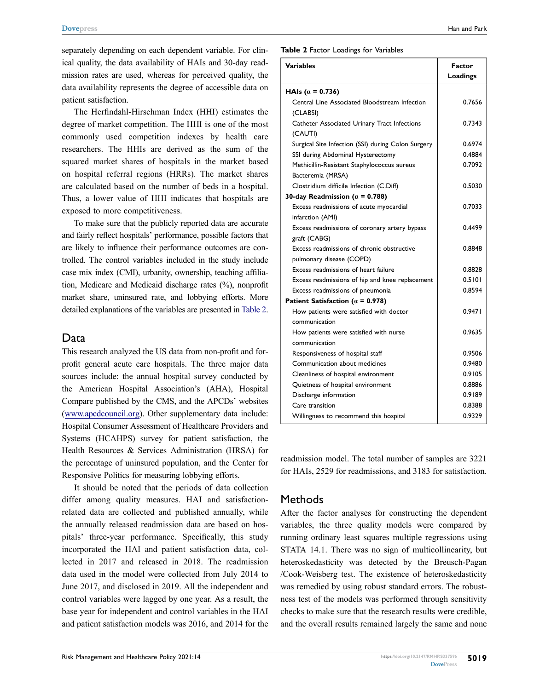separately depending on each dependent variable. For clinical quality, the data availability of HAIs and 30-day readmission rates are used, whereas for perceived quality, the data availability represents the degree of accessible data on patient satisfaction.

The Herfindahl-Hirschman Index (HHI) estimates the degree of market competition. The HHI is one of the most commonly used competition indexes by health care researchers. The HHIs are derived as the sum of the squared market shares of hospitals in the market based on hospital referral regions (HRRs). The market shares are calculated based on the number of beds in a hospital. Thus, a lower value of HHI indicates that hospitals are exposed to more competitiveness.

To make sure that the publicly reported data are accurate and fairly reflect hospitals' performance, possible factors that are likely to influence their performance outcomes are controlled. The control variables included in the study include case mix index (CMI), urbanity, ownership, teaching affiliation, Medicare and Medicaid discharge rates (%), nonprofit market share, uninsured rate, and lobbying efforts. More detailed explanations of the variables are presented in [Table 2](#page-5-0).

#### Data

This research analyzed the US data from non-profit and forprofit general acute care hospitals. The three major data sources include: the annual hospital survey conducted by the American Hospital Association's (AHA), Hospital Compare published by the CMS, and the APCDs' websites [\(www.apcdcouncil.org](http://www.apcdcouncil.org)). Other supplementary data include: Hospital Consumer Assessment of Healthcare Providers and Systems (HCAHPS) survey for patient satisfaction, the Health Resources & Services Administration (HRSA) for the percentage of uninsured population, and the Center for Responsive Politics for measuring lobbying efforts.

It should be noted that the periods of data collection differ among quality measures. HAI and satisfactionrelated data are collected and published annually, while the annually released readmission data are based on hospitals' three-year performance. Specifically, this study incorporated the HAI and patient satisfaction data, collected in 2017 and released in 2018. The readmission data used in the model were collected from July 2014 to June 2017, and disclosed in 2019. All the independent and control variables were lagged by one year. As a result, the base year for independent and control variables in the HAI and patient satisfaction models was 2016, and 2014 for the <span id="page-5-0"></span>**Table 2** Factor Loadings for Variables

| <b>Variables</b>                                   | Factor   |  |
|----------------------------------------------------|----------|--|
|                                                    | Loadings |  |
| HAIs $(a = 0.736)$                                 |          |  |
| Central Line Associated Bloodstream Infection      | 0.7656   |  |
| (CLABSI)                                           |          |  |
| Catheter Associated Urinary Tract Infections       | 0.7343   |  |
| (CAUTI)                                            |          |  |
| Surgical Site Infection (SSI) during Colon Surgery | 0.6974   |  |
| SSI during Abdominal Hysterectomy                  | 0.4884   |  |
| Methicillin-Resistant Staphylococcus aureus        | 0.7092   |  |
| Bacteremia (MRSA)                                  |          |  |
| Clostridium difficile Infection (C.Diff)           | 0.5030   |  |
| 30-day Readmission ( $\alpha$ = 0.788)             |          |  |
| Excess readmissions of acute myocardial            | 0.7033   |  |
| infarction (AMI)                                   |          |  |
| Excess readmissions of coronary artery bypass      | 0.4499   |  |
| graft (CABG)                                       |          |  |
| Excess readmissions of chronic obstructive         | 0.8848   |  |
| pulmonary disease (COPD)                           |          |  |
| Excess readmissions of heart failure               | 0.8828   |  |
| Excess readmissions of hip and knee replacement    | 0.5101   |  |
| Excess readmissions of pneumonia                   | 0.8594   |  |
| Patient Satisfaction ( $\alpha$ = 0.978)           |          |  |
| How patients were satisfied with doctor            | 0.9471   |  |
| communication                                      |          |  |
| How patients were satisfied with nurse             | 0.9635   |  |
| communication                                      |          |  |
| Responsiveness of hospital staff                   | 0.9506   |  |
| Communication about medicines                      | 0.9480   |  |
| Cleanliness of hospital environment                | 0.9105   |  |
| Quietness of hospital environment                  | 0.8886   |  |
| Discharge information                              | 0.9189   |  |
| Care transition                                    | 0.8388   |  |
| Willingness to recommend this hospital             | 0.9329   |  |
|                                                    |          |  |

readmission model. The total number of samples are 3221 for HAIs, 2529 for readmissions, and 3183 for satisfaction.

#### **Methods**

After the factor analyses for constructing the dependent variables, the three quality models were compared by running ordinary least squares multiple regressions using STATA 14.1. There was no sign of multicollinearity, but heteroskedasticity was detected by the Breusch-Pagan /Cook-Weisberg test. The existence of heteroskedasticity was remedied by using robust standard errors. The robustness test of the models was performed through sensitivity checks to make sure that the research results were credible, and the overall results remained largely the same and none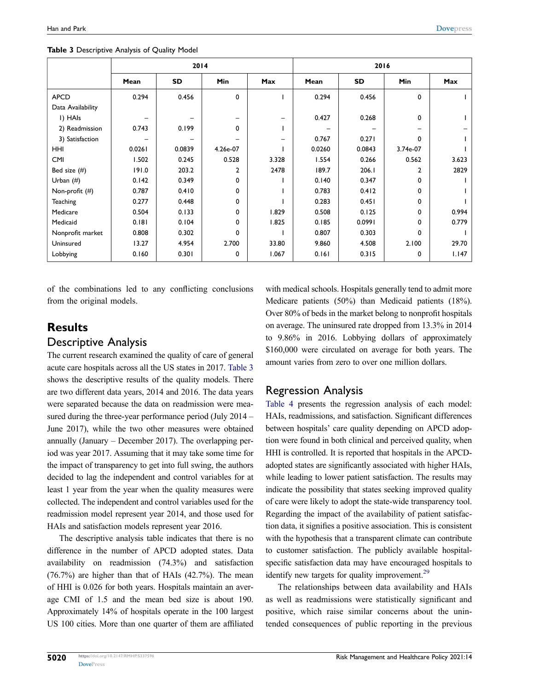|                   | 2014   |           |                |       | 2016   |        |                |       |
|-------------------|--------|-----------|----------------|-------|--------|--------|----------------|-------|
|                   | Mean   | <b>SD</b> | Min            | Max   | Mean   | SD     | Min            | Max   |
| <b>APCD</b>       | 0.294  | 0.456     | 0              |       | 0.294  | 0.456  | 0              |       |
| Data Availability |        |           |                |       |        |        |                |       |
| I) HAIs           |        |           |                |       | 0.427  | 0.268  | $\mathbf 0$    |       |
| 2) Readmission    | 0.743  | 0.199     | 0              |       |        |        | -              |       |
| 3) Satisfaction   |        |           |                | -     | 0.767  | 0.271  | $\mathbf 0$    |       |
| <b>HHI</b>        | 0.0261 | 0.0839    | 4.26e-07       |       | 0.0260 | 0.0843 | 3.74e-07       |       |
| <b>CMI</b>        | 1.502  | 0.245     | 0.528          | 3.328 | 1.554  | 0.266  | 0.562          | 3.623 |
| Bed size $(\#)$   | 191.0  | 203.2     | $\overline{2}$ | 2478  | 189.7  | 206.1  | $\overline{2}$ | 2829  |
| Urban $(\#)$      | 0.142  | 0.349     | 0              |       | 0.140  | 0.347  | $\mathbf 0$    |       |
| Non-profit (#)    | 0.787  | 0.410     | 0              |       | 0.783  | 0.412  | $\mathbf 0$    |       |
| <b>Teaching</b>   | 0.277  | 0.448     | 0              |       | 0.283  | 0.451  | $\mathbf 0$    |       |
| Medicare          | 0.504  | 0.133     | 0              | 1.829 | 0.508  | 0.125  | 0              | 0.994 |
| Medicaid          | 0.181  | 0.104     | 0              | 1.825 | 0.185  | 0.0991 | $\mathbf 0$    | 0.779 |
| Nonprofit market  | 0.808  | 0.302     | $\Omega$       |       | 0.807  | 0.303  | $\mathbf 0$    |       |
| Uninsured         | 13.27  | 4.954     | 2.700          | 33.80 | 9.860  | 4.508  | 2.100          | 29.70 |
| Lobbying          | 0.160  | 0.301     | 0              | 1.067 | 0.161  | 0.315  | 0              | 1.147 |

<span id="page-6-0"></span>**Table 3** Descriptive Analysis of Quality Model

of the combinations led to any conflicting conclusions from the original models.

### **Results**

#### Descriptive Analysis

The current research examined the quality of care of general acute care hospitals across all the US states in 2017. [Table 3](#page-6-0)  shows the descriptive results of the quality models. There are two different data years, 2014 and 2016. The data years were separated because the data on readmission were measured during the three-year performance period (July 2014 – June 2017), while the two other measures were obtained annually (January – December 2017). The overlapping period was year 2017. Assuming that it may take some time for the impact of transparency to get into full swing, the authors decided to lag the independent and control variables for at least 1 year from the year when the quality measures were collected. The independent and control variables used for the readmission model represent year 2014, and those used for HAIs and satisfaction models represent year 2016.

The descriptive analysis table indicates that there is no difference in the number of APCD adopted states. Data availability on readmission (74.3%) and satisfaction (76.7%) are higher than that of HAIs (42.7%). The mean of HHI is 0.026 for both years. Hospitals maintain an average CMI of 1.5 and the mean bed size is about 190. Approximately 14% of hospitals operate in the 100 largest US 100 cities. More than one quarter of them are affiliated with medical schools. Hospitals generally tend to admit more Medicare patients (50%) than Medicaid patients (18%). Over 80% of beds in the market belong to nonprofit hospitals on average. The uninsured rate dropped from 13.3% in 2014 to 9.86% in 2016. Lobbying dollars of approximately \$160,000 were circulated on average for both years. The amount varies from zero to over one million dollars.

#### Regression Analysis

[Table 4](#page-7-0) presents the regression analysis of each model: HAIs, readmissions, and satisfaction. Significant differences between hospitals' care quality depending on APCD adoption were found in both clinical and perceived quality, when HHI is controlled. It is reported that hospitals in the APCDadopted states are significantly associated with higher HAIs, while leading to lower patient satisfaction. The results may indicate the possibility that states seeking improved quality of care were likely to adopt the state-wide transparency tool. Regarding the impact of the availability of patient satisfaction data, it signifies a positive association. This is consistent with the hypothesis that a transparent climate can contribute to customer satisfaction. The publicly available hospitalspecific satisfaction data may have encouraged hospitals to identify new targets for quality improvement.<sup>29</sup>

<span id="page-6-1"></span>The relationships between data availability and HAIs as well as readmissions were statistically significant and positive, which raise similar concerns about the unintended consequences of public reporting in the previous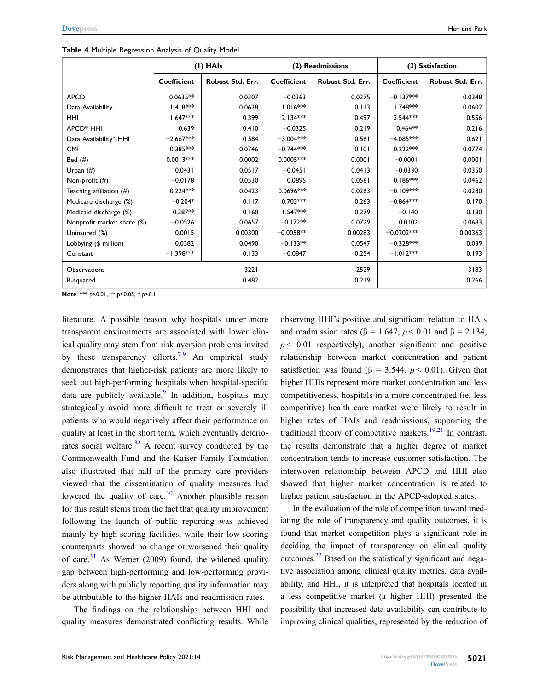|                            | (I) HAIs           |                  |             | (2) Readmissions | (3) Satisfaction |                  |
|----------------------------|--------------------|------------------|-------------|------------------|------------------|------------------|
|                            | <b>Coefficient</b> | Robust Std. Err. | Coefficient | Robust Std. Err. | Coefficient      | Robust Std. Err. |
| <b>APCD</b>                | $0.0635**$         | 0.0307           | $-0.0363$   | 0.0275           | $-0.137***$      | 0.0348           |
| Data Availability          | $1.418***$         | 0.0628           | $1.016***$  | 0.113            | $1.748***$       | 0.0602           |
| <b>HHI</b>                 | $1.647***$         | 0.399            | $2.134***$  | 0.497            | $3.544***$       | 0.556            |
| APCD <sup>*</sup> HHI      | 0.639              | 0.410            | $-0.0325$   | 0.219            | $0.464**$        | 0.216            |
| Data Availability* HHI     | $-2.667***$        | 0.584            | $-3.004***$ | 0.561            | $-4.085***$      | 0.621            |
| <b>CMI</b>                 | $0.385***$         | 0.0746           | $-0.744***$ | 0.101            | $0.222***$       | 0.0774           |
| Bed $(\#)$                 | $0.0013***$        | 0.0002           | $0.0005***$ | 0.0001           | $-0.0001$        | 0.0001           |
| Urban $($ # $)$            | 0.0431             | 0.0517           | $-0.0451$   | 0.0413           | $-0.0330$        | 0.0350           |
| Non-profit (#)             | $-0.0178$          | 0.0530           | 0.0895      | 0.0561           | $0.186***$       | 0.0462           |
| Teaching affiliation (#)   | $0.224***$         | 0.0423           | $0.0696***$ | 0.0263           | $-0.109***$      | 0.0280           |
| Medicare discharge (%)     | $-0.204*$          | 0.117            | $0.703***$  | 0.263            | $-0.864***$      | 0.170            |
| Medicaid discharge (%)     | $0.387**$          | 0.160            | $1.547***$  | 0.279            | $-0.140$         | 0.180            |
| Nonprofit market share (%) | $-0.0526$          | 0.0657           | $-0.172**$  | 0.0729           | 0.0102           | 0.0683           |
| Uninsured (%)              | 0.0015             | 0.00300          | $-0.0058**$ | 0.00283          | $-0.0202***$     | 0.00363          |
| Lobbying (\$ million)      | 0.0382             | 0.0490           | $-0.133**$  | 0.0547           | $-0.328***$      | 0.039            |
| Constant                   | $-1.398***$        | 0.133            | $-0.0847$   | 0.254            | $-1.012***$      | 0.193            |
| <b>Observations</b>        |                    | 3221             |             | 2529             |                  | 3183             |
| R-squared                  |                    | 0.482            |             | 0.219            |                  | 0.266            |

<span id="page-7-0"></span>**Table 4** Multiple Regression Analysis of Quality Model

**Note**: \*\*\* p<0.01, \*\* p<0.05, \* p<0.1.

<span id="page-7-3"></span>literature. A possible reason why hospitals under more transparent environments are associated with lower clinical quality may stem from risk aversion problems invited by these transparency efforts.<sup>[7,](#page-9-4)[9](#page-9-6)</sup> An empirical study demonstrates that higher-risk patients are more likely to seek out high-performing hospitals when hospital-specific data are publicly available. $9$  In addition, hospitals may strategically avoid more difficult to treat or severely ill patients who would negatively affect their performance on quality at least in the short term, which eventually deteriorates social welfare. $32$  A recent survey conducted by the Commonwealth Fund and the Kaiser Family Foundation also illustrated that half of the primary care providers viewed that the dissemination of quality measures had lowered the quality of care.<sup>30</sup> Another plausible reason for this result stems from the fact that quality improvement following the launch of public reporting was achieved mainly by high-scoring facilities, while their low-scoring counterparts showed no change or worsened their quality of care.<sup>[31](#page-10-14)</sup> As Werner (2009) found, the widened quality gap between high-performing and low-performing providers along with publicly reporting quality information may be attributable to the higher HAIs and readmission rates.

<span id="page-7-2"></span><span id="page-7-1"></span>The findings on the relationships between HHI and quality measures demonstrated conflicting results. While observing HHI's positive and significant relation to HAIs and readmission rates ( $\beta$  = 1.647,  $p$  < 0.01 and  $\beta$  = 2.134,  $p < 0.01$  respectively), another significant and positive relationship between market concentration and patient satisfaction was found ( $\beta$  = 3.544, *p* < 0.01). Given that higher HHIs represent more market concentration and less competitiveness, hospitals in a more concentrated (ie, less competitive) health care market were likely to result in higher rates of HAIs and readmissions, supporting the traditional theory of competitive markets.<sup>19,21</sup> In contrast, the results demonstrate that a higher degree of market concentration tends to increase customer satisfaction. The interwoven relationship between APCD and HHI also showed that higher market concentration is related to higher patient satisfaction in the APCD-adopted states.

In the evaluation of the role of competition toward mediating the role of transparency and quality outcomes, it is found that market competition plays a significant role in deciding the impact of transparency on clinical quality outcomes.[22](#page-10-4) Based on the statistically significant and negative association among clinical quality metrics, data availability, and HHI, it is interpreted that hospitals located in a less competitive market (a higher HHI) presented the possibility that increased data availability can contribute to improving clinical qualities, represented by the reduction of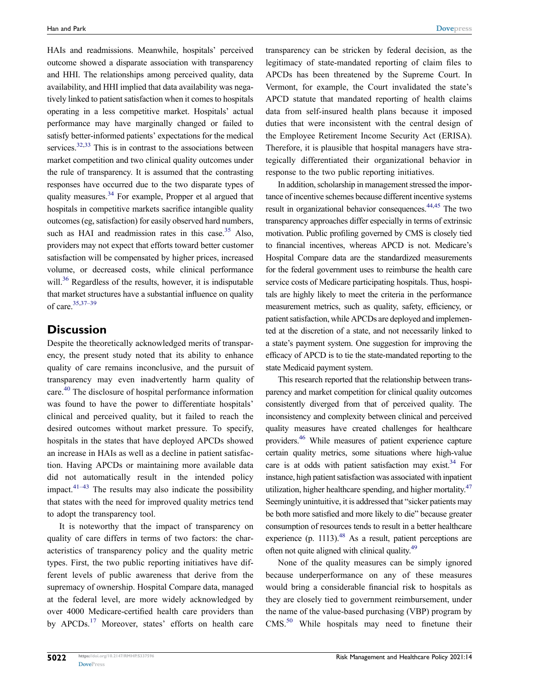<span id="page-8-0"></span>HAIs and readmissions. Meanwhile, hospitals' perceived outcome showed a disparate association with transparency and HHI. The relationships among perceived quality, data availability, and HHI implied that data availability was negatively linked to patient satisfaction when it comes to hospitals operating in a less competitive market. Hospitals' actual performance may have marginally changed or failed to satisfy better-informed patients' expectations for the medical services. $32,33$  $32,33$  $32,33$  This is in contrast to the associations between market competition and two clinical quality outcomes under the rule of transparency. It is assumed that the contrasting responses have occurred due to the two disparate types of quality measures[.34](#page-10-16) For example, Propper et al argued that hospitals in competitive markets sacrifice intangible quality outcomes (eg, satisfaction) for easily observed hard numbers, such as HAI and readmission rates in this case. $35$  Also, providers may not expect that efforts toward better customer satisfaction will be compensated by higher prices, increased volume, or decreased costs, while clinical performance will.<sup>36</sup> Regardless of the results, however, it is indisputable that market structures have a substantial influence on quality of care[.35,](#page-10-17)[37–39](#page-10-19)

#### <span id="page-8-3"></span><span id="page-8-2"></span>**Discussion**

<span id="page-8-4"></span>Despite the theoretically acknowledged merits of transparency, the present study noted that its ability to enhance quality of care remains inconclusive, and the pursuit of transparency may even inadvertently harm quality of care[.40](#page-10-20) The disclosure of hospital performance information was found to have the power to differentiate hospitals' clinical and perceived quality, but it failed to reach the desired outcomes without market pressure. To specify, hospitals in the states that have deployed APCDs showed an increase in HAIs as well as a decline in patient satisfaction. Having APCDs or maintaining more available data did not automatically result in the intended policy impact. $41-43$  The results may also indicate the possibility that states with the need for improved quality metrics tend to adopt the transparency tool.

<span id="page-8-5"></span>It is noteworthy that the impact of transparency on quality of care differs in terms of two factors: the characteristics of transparency policy and the quality metric types. First, the two public reporting initiatives have different levels of public awareness that derive from the supremacy of ownership. Hospital Compare data, managed at the federal level, are more widely acknowledged by over 4000 Medicare-certified health care providers than by APCDs.<sup>17</sup> Moreover, states' efforts on health care transparency can be stricken by federal decision, as the legitimacy of state-mandated reporting of claim files to APCDs has been threatened by the Supreme Court. In Vermont, for example, the Court invalidated the state's APCD statute that mandated reporting of health claims data from self-insured health plans because it imposed duties that were inconsistent with the central design of the Employee Retirement Income Security Act (ERISA). Therefore, it is plausible that hospital managers have strategically differentiated their organizational behavior in response to the two public reporting initiatives.

<span id="page-8-6"></span>In addition, scholarship in management stressed the importance of incentive schemes because different incentive systems result in organizational behavior consequences.<sup>44[,45](#page-10-23)</sup> The two transparency approaches differ especially in terms of extrinsic motivation. Public profiling governed by CMS is closely tied to financial incentives, whereas APCD is not. Medicare's Hospital Compare data are the standardized measurements for the federal government uses to reimburse the health care service costs of Medicare participating hospitals. Thus, hospitals are highly likely to meet the criteria in the performance measurement metrics, such as quality, safety, efficiency, or patient satisfaction, while APCDs are deployed and implemented at the discretion of a state, and not necessarily linked to a state's payment system. One suggestion for improving the efficacy of APCD is to tie the state-mandated reporting to the state Medicaid payment system.

<span id="page-8-7"></span><span id="page-8-1"></span>This research reported that the relationship between transparency and market competition for clinical quality outcomes consistently diverged from that of perceived quality. The inconsistency and complexity between clinical and perceived quality measures have created challenges for healthcare providers[.46](#page-10-24) While measures of patient experience capture certain quality metrics, some situations where high-value care is at odds with patient satisfaction may exist.<sup>34</sup> For instance, high patient satisfaction was associated with inpatient utilization, higher healthcare spending, and higher mortality.<sup>47</sup> Seemingly unintuitive, it is addressed that "sicker patients may be both more satisfied and more likely to die" because greater consumption of resources tends to result in a better healthcare experience (p. 1113). $48$  As a result, patient perceptions are often not quite aligned with clinical quality[.49](#page-10-27)

<span id="page-8-11"></span><span id="page-8-10"></span><span id="page-8-9"></span><span id="page-8-8"></span>None of the quality measures can be simply ignored because underperformance on any of these measures would bring a considerable financial risk to hospitals as they are closely tied to government reimbursement, under the name of the value-based purchasing (VBP) program by CMS[.50](#page-10-28) While hospitals may need to finetune their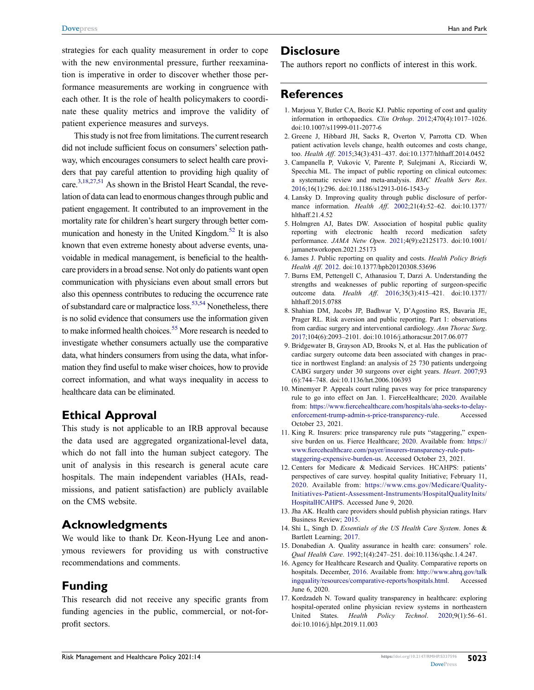strategies for each quality measurement in order to cope with the new environmental pressure, further reexamination is imperative in order to discover whether those performance measurements are working in congruence with each other. It is the role of health policymakers to coordinate these quality metrics and improve the validity of patient experience measures and surveys.

<span id="page-9-16"></span><span id="page-9-15"></span>This study is not free from limitations. The current research did not include sufficient focus on consumers' selection pathway, which encourages consumers to select health care providers that pay careful attention to providing high quality of care.<sup>3[,18](#page-10-0)[,27](#page-10-9)[,51](#page-10-29)</sup> As shown in the Bristol Heart Scandal, the revelation of data can lead to enormous changes through public and patient engagement. It contributed to an improvement in the mortality rate for children's heart surgery through better communication and honesty in the United Kingdom.<sup>52</sup> It is also known that even extreme honesty about adverse events, unavoidable in medical management, is beneficial to the healthcare providers in a broad sense. Not only do patients want open communication with physicians even about small errors but also this openness contributes to reducing the occurrence rate of substandard care or malpractice loss.[53](#page-10-31)[,54](#page-10-32) Nonetheless, there is no solid evidence that consumers use the information given to make informed health choices.<sup>55</sup> More research is needed to investigate whether consumers actually use the comparative data, what hinders consumers from using the data, what information they find useful to make wiser choices, how to provide correct information, and what ways inequality in access to healthcare data can be eliminated.

#### <span id="page-9-18"></span><span id="page-9-17"></span>**Ethical Approval**

This study is not applicable to an IRB approval because the data used are aggregated organizational-level data, which do not fall into the human subject category. The unit of analysis in this research is general acute care hospitals. The main independent variables (HAIs, readmissions, and patient satisfaction) are publicly available on the CMS website.

#### **Acknowledgments**

We would like to thank Dr. Keon-Hyung Lee and anonymous reviewers for providing us with constructive recommendations and comments.

#### **Funding**

This research did not receive any specific grants from funding agencies in the public, commercial, or not-forprofit sectors.

#### **Disclosure**

The authors report no conflicts of interest in this work.

#### **References**

- <span id="page-9-0"></span>1. Marjoua Y, Butler CA, Bozic KJ. Public reporting of cost and quality information in orthopaedics. *Clin Orthop*. [2012;](#page-1-2)470(4):1017–1026. doi:[10.1007/s11999-011-2077-6](https://doi.org/10.1007/s11999-011-2077-6)
- <span id="page-9-1"></span>2. Greene J, Hibbard JH, Sacks R, Overton V, Parrotta CD. When patient activation levels change, health outcomes and costs change, too. *Health Aff*. [2015;](#page-2-0)34(3):431–437. doi:[10.1377/hlthaff.2014.0452](https://doi.org/10.1377/hlthaff.2014.0452)
- <span id="page-9-2"></span>3. Campanella P, Vukovic V, Parente P, Sulejmani A, Ricciardi W, Specchia ML. The impact of public reporting on clinical outcomes: a systematic review and meta-analysis. *BMC Health Serv Res*. [2016](#page-2-1);16(1):296. doi:[10.1186/s12913-016-1543-y](https://doi.org/10.1186/s12913-016-1543-y)
- 4. Lansky D. Improving quality through public disclosure of performance information. *Health Aff*. 2002;21(4):52–62. doi:[10.1377/](https://doi.org/10.1377/hlthaff.21.4.52) [hlthaff.21.4.52](https://doi.org/10.1377/hlthaff.21.4.52)
- 5. Holmgren AJ, Bates DW. Association of hospital public quality reporting with electronic health record medication safety performance. *JAMA Netw Open*. 2021;4(9):e2125173. doi:[10.1001/](https://doi.org/10.1001/jamanetworkopen.2021.25173) [jamanetworkopen.2021.25173](https://doi.org/10.1001/jamanetworkopen.2021.25173)
- <span id="page-9-3"></span>6. James J. Public reporting on quality and costs. *Health Policy Briefs Health Aff*. [2012.](#page-2-2) doi:[10.1377/hpb20120308.53696](https://doi.org/10.1377/hpb20120308.53696)
- <span id="page-9-4"></span>7. Burns EM, Pettengell C, Athanasiou T, Darzi A. Understanding the strengths and weaknesses of public reporting of surgeon-specific outcome data. *Health Aff*. [2016](#page-2-3);35(3):415–421. doi:[10.1377/](https://doi.org/10.1377/hlthaff.2015.0788) [hlthaff.2015.0788](https://doi.org/10.1377/hlthaff.2015.0788)
- <span id="page-9-5"></span>8. Shahian DM, Jacobs JP, Badhwar V, D'Agostino RS, Bavaria JE, Prager RL. Risk aversion and public reporting. Part 1: observations from cardiac surgery and interventional cardiology. *Ann Thorac Surg*. [2017](#page-2-3);104(6):2093–2101. doi:[10.1016/j.athoracsur.2017.06.077](https://doi.org/10.1016/j.athoracsur.2017.06.077)
- <span id="page-9-6"></span>9. Bridgewater B, Grayson AD, Brooks N, et al. Has the publication of cardiac surgery outcome data been associated with changes in practice in northwest England: an analysis of 25 730 patients undergoing CABG surgery under 30 surgeons over eight years. *Heart*. [2007](#page-2-4);93 (6):744–748. doi:[10.1136/hrt.2006.106393](https://doi.org/10.1136/hrt.2006.106393)
- <span id="page-9-7"></span>10. Minemyer P. Appeals court ruling paves way for price transparency rule to go into effect on Jan. 1. FierceHealthcare; [2020](#page-2-5). Available from: [https://www.fiercehealthcare.com/hospitals/aha-seeks-to-delay](https://www.fiercehealthcare.com/hospitals/aha-seeks-to-delay-enforcement-trump-admin-s-price-transparency-rule)[enforcement-trump-admin-s-price-transparency-rule.](https://www.fiercehealthcare.com/hospitals/aha-seeks-to-delay-enforcement-trump-admin-s-price-transparency-rule) Accessed October 23, 2021.
- <span id="page-9-8"></span>11. King R. Insurers: price transparency rule puts "staggering," expensive burden on us. Fierce Healthcare; [2020](#page-2-6). Available from: [https://](https://www.fiercehealthcare.com/payer/insurers-transparency-rule-puts-staggering-expensive-burden-us) [www.fiercehealthcare.com/payer/insurers-transparency-rule-puts](https://www.fiercehealthcare.com/payer/insurers-transparency-rule-puts-staggering-expensive-burden-us)[staggering-expensive-burden-us](https://www.fiercehealthcare.com/payer/insurers-transparency-rule-puts-staggering-expensive-burden-us). Accessed October 23, 2021.
- <span id="page-9-9"></span>12. Centers for Medicare & Medicaid Services. HCAHPS: patients' perspectives of care survey. hospital quality Initiative; February 11, [2020.](#page-2-7) Available from: [https://www.cms.gov/Medicare/Quality-](https://www.cms.gov/Medicare/Quality-Initiatives-Patient-Assessment-Instruments/HospitalQualityInits/HospitalHCAHPS)[Initiatives-Patient-Assessment-Instruments/HospitalQualityInits/](https://www.cms.gov/Medicare/Quality-Initiatives-Patient-Assessment-Instruments/HospitalQualityInits/HospitalHCAHPS)  [HospitalHCAHPS](https://www.cms.gov/Medicare/Quality-Initiatives-Patient-Assessment-Instruments/HospitalQualityInits/HospitalHCAHPS). Accessed June 9, 2020.
- <span id="page-9-10"></span>13. Jha AK. Health care providers should publish physician ratings. Harv Business Review; [2015.](#page-2-7)
- <span id="page-9-11"></span>14. Shi L, Singh D. *Essentials of the US Health Care System*. Jones & Bartlett Learning; [2017.](#page-2-8)
- <span id="page-9-12"></span>15. Donabedian A. Quality assurance in health care: consumers' role. *Qual Health Care*. [1992;](#page-2-9)1(4):247–251. doi:[10.1136/qshc.1.4.247](https://doi.org/10.1136/qshc.1.4.247).
- <span id="page-9-13"></span>16. Agency for Healthcare Research and Quality. Comparative reports on hospitals. December, [2016](#page-2-2). Available from: [http://www.ahrq.gov/talk](http://www.ahrq.gov/talkingquality/resources/comparative-reports/hospitals.html) [ingquality/resources/comparative-reports/hospitals.html](http://www.ahrq.gov/talkingquality/resources/comparative-reports/hospitals.html). Accessed June 6, 2020.
- <span id="page-9-14"></span>17. Kordzadeh N. Toward quality transparency in healthcare: exploring hospital-operated online physician review systems in northeastern United States. *Health Policy Technol*. [2020;](#page-2-10)9(1):56–61. doi:[10.1016/j.hlpt.2019.11.003](https://doi.org/10.1016/j.hlpt.2019.11.003)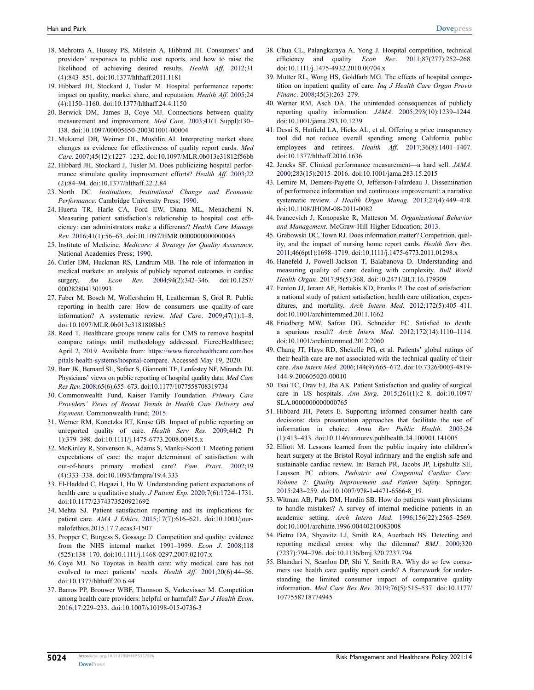- <span id="page-10-0"></span>18. Mehrotra A, Hussey PS, Milstein A, Hibbard JH. Consumers' and providers' responses to public cost reports, and how to raise the likelihood of achieving desired results. *Health Aff*. [2012](#page-3-0);31 (4):843–851. doi:[10.1377/hlthaff.2011.1181](https://doi.org/10.1377/hlthaff.2011.1181)
- <span id="page-10-1"></span>19. Hibbard JH, Stockard J, Tusler M. Hospital performance reports: impact on quality, market share, and reputation. *Health Aff*. [2005](#page-3-0);24 (4):1150–1160. doi:[10.1377/hlthaff.24.4.1150](https://doi.org/10.1377/hlthaff.24.4.1150)
- <span id="page-10-2"></span>20. Berwick DM, James B, Coye MJ. Connections between quality measurement and improvement. *Med Care*. [2003;](#page-3-1)41(1 Suppl):I30– I38. doi:[10.1097/00005650-200301001-00004](https://doi.org/10.1097/00005650-200301001-00004)
- <span id="page-10-3"></span>21. Mukamel DB, Weimer DL, Mushlin AI. Interpreting market share changes as evidence for effectiveness of quality report cards. *Med Care*. [2007;](#page-3-2)45(12):1227–1232. doi:[10.1097/MLR.0b013e31812f56bb](https://doi.org/10.1097/MLR.0b013e31812f56bb)
- <span id="page-10-4"></span>22. Hibbard JH, Stockard J, Tusler M. Does publicizing hospital performance stimulate quality improvement efforts? *Health Aff*. [2003](#page-3-3);22 (2):84–94. doi:[10.1377/hlthaff.22.2.84](https://doi.org/10.1377/hlthaff.22.2.84)
- <span id="page-10-5"></span>23. North DC. *Institutions, Institutional Change and Economic Performance*. Cambridge University Press; [1990](#page-3-3).
- <span id="page-10-6"></span>24. Huerta TR, Harle CA, Ford EW, Diana ML, Menachemi N. Measuring patient satisfaction's relationship to hospital cost efficiency: can administrators make a difference? *Health Care Manage Rev*. [2016;](#page-3-4)41(1):56–63. doi:[10.1097/HMR.0000000000000045](https://doi.org/10.1097/HMR.0000000000000045)
- <span id="page-10-7"></span>25. Institute of Medicine. *Medicare: A Strategy for Quality Assurance*. National Academies Press; [1990.](#page-3-5)
- <span id="page-10-8"></span>26. Cutler DM, Huckman RS, Landrum MB. The role of information in medical markets: an analysis of publicly reported outcomes in cardiac surgery. *Am Econ Rev*. [2004](#page-3-6);94(2):342–346. doi:[10.1257/](https://doi.org/10.1257/0002828041301993)  [0002828041301993](https://doi.org/10.1257/0002828041301993)
- <span id="page-10-9"></span>27. Faber M, Bosch M, Wollersheim H, Leatherman S, Grol R. Public reporting in health care: How do consumers use quality-of-care information? A systematic review. *Med Care*. [2009;](#page-3-6)47(1):1–8. doi:[10.1097/MLR.0b013e3181808bb5](https://doi.org/10.1097/MLR.0b013e3181808bb5)
- <span id="page-10-10"></span>28. Reed T. Healthcare groups renew calls for CMS to remove hospital compare ratings until methodology addressed. FierceHealthcare; April 2, [2019](#page-4-1). Available from: [https://www.fiercehealthcare.com/hos](https://www.fiercehealthcare.com/hospitals-health-systems/hospital-compare)  [pitals-health-systems/hospital-compare](https://www.fiercehealthcare.com/hospitals-health-systems/hospital-compare). Accessed May 19, 2020.
- <span id="page-10-11"></span>29. Barr JK, Bernard SL, Sofaer S, Giannotti TE, Lenfestey NF, Miranda DJ. Physicians' views on public reporting of hospital quality data. *Med Care Res Rev*. [2008;](#page-6-1)65(6):655–673. doi:[10.1177/1077558708319734](https://doi.org/10.1177/1077558708319734)
- <span id="page-10-13"></span>30. Commonwealth Fund, Kaiser Family Foundation. *Primary Care Providers' Views of Recent Trends in Health Care Delivery and Payment*. Commonwealth Fund; [2015](#page-7-1).
- <span id="page-10-14"></span>31. Werner RM, Konetzka RT, Kruse GB. Impact of public reporting on unreported quality of care. *Health Serv Res*. [2009](#page-7-2);44(2 Pt 1):379–398. doi:[10.1111/j.1475-6773.2008.00915.x](https://doi.org/10.1111/j.1475-6773.2008.00915.x)
- <span id="page-10-12"></span>32. McKinley R, Stevenson K, Adams S, Manku-Scott T. Meeting patient expectations of care: the major determinant of satisfaction with out-of-hours primary medical care? *Fam Pract*. [2002](#page-7-3);19 (4):333–338. doi:[10.1093/fampra/19.4.333](https://doi.org/10.1093/fampra/19.4.333)
- <span id="page-10-15"></span>33. El-Haddad C, Hegazi I, Hu W. Understanding patient expectations of health care: a qualitative study. *J Patient Exp*. [2020;](#page-8-0)7(6):1724–1731. doi:[10.1177/2374373520921692](https://doi.org/10.1177/2374373520921692)
- <span id="page-10-16"></span>34. Mehta SJ. Patient satisfaction reporting and its implications for patient care. *AMA J Ethics*. [2015](#page-8-1);17(7):616–621. doi:[10.1001/jour](https://doi.org/10.1001/journalofethics.2015.17.7.ecas3-1507)[nalofethics.2015.17.7.ecas3-1507](https://doi.org/10.1001/journalofethics.2015.17.7.ecas3-1507)
- <span id="page-10-17"></span>35. Propper C, Burgess S, Gossage D. Competition and quality: evidence from the NHS internal market 1991–1999. *Econ J*. [2008;](#page-8-2)118 (525):138–170. doi:[10.1111/j.1468-0297.2007.02107.x](https://doi.org/10.1111/j.1468-0297.2007.02107.x)
- <span id="page-10-18"></span>36. Coye MJ. No Toyotas in health care: why medical care has not evolved to meet patients' needs. *Health Aff*. [2001;](#page-8-3)20(6):44–56. doi:[10.1377/hlthaff.20.6.44](https://doi.org/10.1377/hlthaff.20.6.44)
- <span id="page-10-19"></span>37. Barros PP, Brouwer WBF, Thomson S, Varkevisser M. Competition among health care providers: helpful or harmful? *Eur J Health Econ*. [2016;](#page-8-2)17:229–233. doi:[10.1007/s10198-015-0736-3](https://doi.org/10.1007/s10198-015-0736-3)
- 38. Chua CL, Palangkaraya A, Yong J. Hospital competition, technical efficiency and quality. *Econ Rec*. 2011;87(277):252–268. doi:[10.1111/j.1475-4932.2010.00704.x](https://doi.org/10.1111/j.1475-4932.2010.00704.x)
- 39. Mutter RL, Wong HS, Goldfarb MG. The effects of hospital competition on inpatient quality of care. *Inq J Health Care Organ Provis Financ*. 2008;45(3):263–279.
- <span id="page-10-20"></span>40. Werner RM, Asch DA. The unintended consequences of publicly reporting quality information. *JAMA*. [2005;](#page-8-4)293(10):1239–1244. doi:[10.1001/jama.293.10.1239](https://doi.org/10.1001/jama.293.10.1239)
- <span id="page-10-21"></span>41. Desai S, Hatfield LA, Hicks AL, et al. Offering a price transparency tool did not reduce overall spending among California public employees and retirees. *Health Aff*. [2017;](#page-8-5)36(8):1401–1407. doi:[10.1377/hlthaff.2016.1636](https://doi.org/10.1377/hlthaff.2016.1636)
- 42. Jencks SF. Clinical performance measurement—a hard sell. *JAMA*. 2000;283(15):2015–2016. doi:[10.1001/jama.283.15.2015](https://doi.org/10.1001/jama.283.15.2015)
- 43. Lemire M, Demers-Payette O, Jefferson-Falardeau J. Dissemination of performance information and continuous improvement: a narrative systematic review. *J Health Organ Manag*. 2013;27(4):449–478. doi:[10.1108/JHOM-08-2011-0082](https://doi.org/10.1108/JHOM-08-2011-0082)
- <span id="page-10-22"></span>44. Ivancevich J, Konopaske R, Matteson M. *Organizational Behavior and Management*. McGraw-Hill Higher Education; [2013.](#page-8-6)
- <span id="page-10-23"></span>45. Grabowski DC, Town RJ. Does information matter? Competition, quality, and the impact of nursing home report cards. *Health Serv Res*. [2011;](#page-8-6)46(6pt1):1698–1719. doi:[10.1111/j.1475-6773.2011.01298.x](https://doi.org/10.1111/j.1475-6773.2011.01298.x)
- <span id="page-10-24"></span>46. Hanefeld J, Powell-Jackson T, Balabanova D. Understanding and measuring quality of care: dealing with complexity. *Bull World Health Organ*. [2017](#page-8-7);95(5):368. doi:[10.2471/BLT.16.179309](https://doi.org/10.2471/BLT.16.179309)
- <span id="page-10-25"></span>47. Fenton JJ, Jerant AF, Bertakis KD, Franks P. The cost of satisfaction: a national study of patient satisfaction, health care utilization, expenditures, and mortality. *Arch Intern Med*. [2012;](#page-8-8)172(5):405–411. doi:[10.1001/archinternmed.2011.1662](https://doi.org/10.1001/archinternmed.2011.1662)
- <span id="page-10-26"></span>48. Friedberg MW, Safran DG, Schneider EC. Satisfied to death: a spurious result? *Arch Intern Med*. [2012;](#page-8-9)172(14):1110–1114. doi:[10.1001/archinternmed.2012.2060](https://doi.org/10.1001/archinternmed.2012.2060)
- <span id="page-10-27"></span>49. Chang JT, Hays RD, Shekelle PG, et al. Patients' global ratings of their health care are not associated with the technical quality of their care. *Ann Intern Med*. [2006;](#page-8-10)144(9):665–672. doi:[10.7326/0003-4819-](https://doi.org/10.7326/0003-4819-144-9-200605020-00010) [144-9-200605020-00010](https://doi.org/10.7326/0003-4819-144-9-200605020-00010)
- <span id="page-10-28"></span>50. Tsai TC, Orav EJ, Jha AK. Patient Satisfaction and quality of surgical care in US hospitals. *Ann Surg*. [2015;](#page-8-11)261(1):2–8. doi:[10.1097/](https://doi.org/10.1097/SLA.0000000000000765) [SLA.0000000000000765](https://doi.org/10.1097/SLA.0000000000000765)
- <span id="page-10-29"></span>51. Hibbard JH, Peters E. Supporting informed consumer health care decisions: data presentation approaches that facilitate the use of information in choice. *Annu Rev Public Health*. [2003](#page-9-15);24 (1):413–433. doi:[10.1146/annurev.publhealth.24.100901.141005](https://doi.org/10.1146/annurev.publhealth.24.100901.141005)
- <span id="page-10-30"></span>52. Elliott M. Lessons learned from the public inquiry into children's heart surgery at the Bristol Royal infirmary and the english safe and sustainable cardiac review. In: Barach PR, Jacobs JP, Lipshultz SE, Laussen PC editors. *Pediatric and Congenital Cardiac Care: Volume 2: Quality Improvement and Patient Safety*. Springer; [2015](#page-9-16):243–259. doi:[10.1007/978-1-4471-6566-8\\_19.](https://doi.org/10.1007/978-1-4471-6566-8_19)
- <span id="page-10-31"></span>53. Witman AB, Park DM, Hardin SB. How do patients want physicians to handle mistakes? A survey of internal medicine patients in an academic setting. *Arch Intern Med*. [1996;](#page-9-17)156(22):2565–2569. doi:[10.1001/archinte.1996.00440210083008](https://doi.org/10.1001/archinte.1996.00440210083008)
- <span id="page-10-32"></span>54. Pietro DA, Shyavitz LJ, Smith RA, Auerbach BS. Detecting and reporting medical errors: why the dilemma? *BMJ*. [2000](#page-9-17);320 (7237):794–796. doi:[10.1136/bmj.320.7237.794](https://doi.org/10.1136/bmj.320.7237.794)
- <span id="page-10-33"></span>55. Bhandari N, Scanlon DP, Shi Y, Smith RA. Why do so few consumers use health care quality report cards? A framework for understanding the limited consumer impact of comparative quality information. *Med Care Res Rev*. [2019;](#page-9-18)76(5):515–537. doi:[10.1177/](https://doi.org/10.1177/1077558718774945) [1077558718774945](https://doi.org/10.1177/1077558718774945)